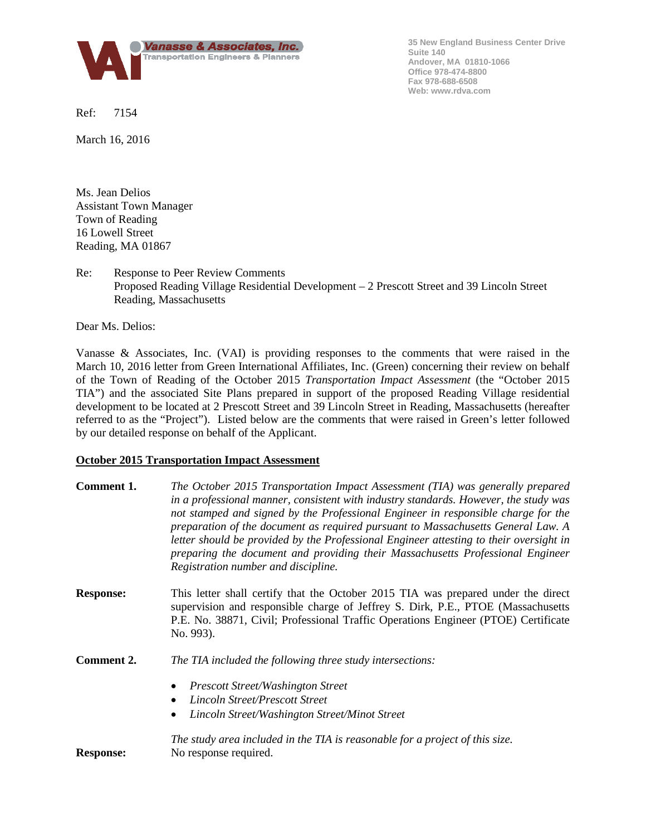

**35 New England Business Center Drive Suite 140 Andover, MA 01810-1066 Office 978-474-8800 Fax 978-688-6508 Web: www.rdva.com**

Ref: 7154

March 16, 2016

Ms. Jean Delios Assistant Town Manager Town of Reading 16 Lowell Street Reading, MA 01867

## Re: Response to Peer Review Comments Proposed Reading Village Residential Development – 2 Prescott Street and 39 Lincoln Street Reading, Massachusetts

Dear Ms. Delios:

Vanasse & Associates, Inc. (VAI) is providing responses to the comments that were raised in the March 10, 2016 letter from Green International Affiliates, Inc. (Green) concerning their review on behalf of the Town of Reading of the October 2015 *Transportation Impact Assessment* (the "October 2015 TIA") and the associated Site Plans prepared in support of the proposed Reading Village residential development to be located at 2 Prescott Street and 39 Lincoln Street in Reading, Massachusetts (hereafter referred to as the "Project"). Listed below are the comments that were raised in Green's letter followed by our detailed response on behalf of the Applicant.

#### **October 2015 Transportation Impact Assessment**

| Comment 1.       | The October 2015 Transportation Impact Assessment (TIA) was generally prepared<br>in a professional manner, consistent with industry standards. However, the study was<br>not stamped and signed by the Professional Engineer in responsible charge for the<br>preparation of the document as required pursuant to Massachusetts General Law. A<br>letter should be provided by the Professional Engineer attesting to their oversight in<br>preparing the document and providing their Massachusetts Professional Engineer<br>Registration number and discipline. |  |  |  |  |  |
|------------------|--------------------------------------------------------------------------------------------------------------------------------------------------------------------------------------------------------------------------------------------------------------------------------------------------------------------------------------------------------------------------------------------------------------------------------------------------------------------------------------------------------------------------------------------------------------------|--|--|--|--|--|
| <b>Response:</b> | This letter shall certify that the October 2015 TIA was prepared under the direct<br>supervision and responsible charge of Jeffrey S. Dirk, P.E., PTOE (Massachusetts<br>P.E. No. 38871, Civil; Professional Traffic Operations Engineer (PTOE) Certificate<br>No. 993).                                                                                                                                                                                                                                                                                           |  |  |  |  |  |
| Comment 2.       | The TIA included the following three study intersections:                                                                                                                                                                                                                                                                                                                                                                                                                                                                                                          |  |  |  |  |  |
|                  | <b>Prescott Street/Washington Street</b><br>٠                                                                                                                                                                                                                                                                                                                                                                                                                                                                                                                      |  |  |  |  |  |
|                  | Lincoln Street/Prescott Street<br>$\bullet$                                                                                                                                                                                                                                                                                                                                                                                                                                                                                                                        |  |  |  |  |  |
|                  | Lincoln Street/Washington Street/Minot Street                                                                                                                                                                                                                                                                                                                                                                                                                                                                                                                      |  |  |  |  |  |
| <b>Response:</b> | The study area included in the TIA is reasonable for a project of this size.<br>No response required.                                                                                                                                                                                                                                                                                                                                                                                                                                                              |  |  |  |  |  |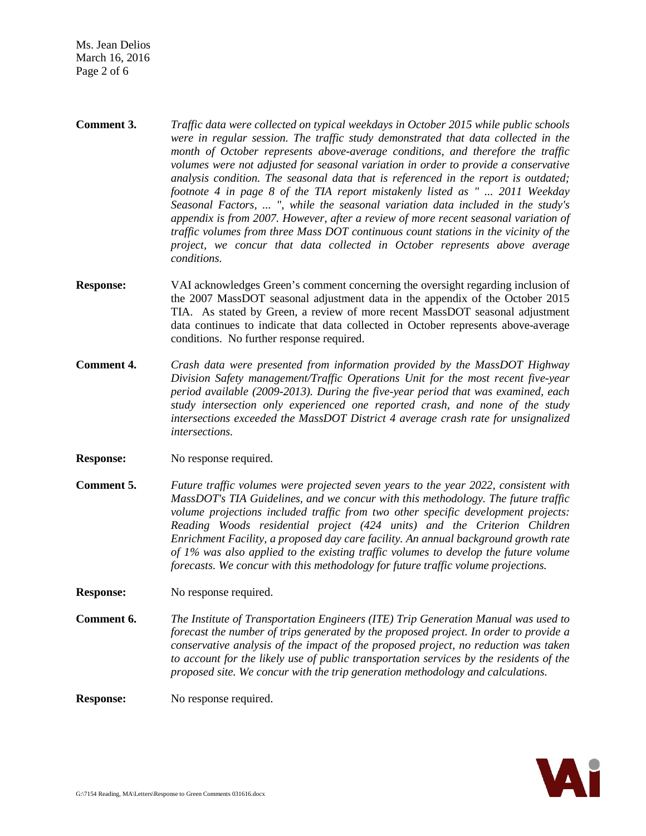Ms. Jean Delios March 16, 2016 Page 2 of 6

- **Comment 3.** *Traffic data were collected on typical weekdays in October 2015 while public schools were in regular session. The traffic study demonstrated that data collected in the month of October represents above-average conditions, and therefore the traffic volumes were not adjusted for seasonal variation in order to provide a conservative analysis condition. The seasonal data that is referenced in the report is outdated; footnote 4 in page 8 of the TIA report mistakenly listed as " ... 2011 Weekday Seasonal Factors, ... ", while the seasonal variation data included in the study's appendix is from 2007. However, after a review of more recent seasonal variation of traffic volumes from three Mass DOT continuous count stations in the vicinity of the project, we concur that data collected in October represents above average conditions.*
- **Response:** VAI acknowledges Green's comment concerning the oversight regarding inclusion of the 2007 MassDOT seasonal adjustment data in the appendix of the October 2015 TIA. As stated by Green, a review of more recent MassDOT seasonal adjustment data continues to indicate that data collected in October represents above-average conditions. No further response required.
- **Comment 4.** *Crash data were presented from information provided by the MassDOT Highway Division Safety management/Traffic Operations Unit for the most recent five-year period available (2009-2013). During the five-year period that was examined, each study intersection only experienced one reported crash, and none of the study intersections exceeded the MassDOT District 4 average crash rate for unsignalized intersections.*
- **Response:** No response required.
- **Comment 5.** *Future traffic volumes were projected seven years to the year 2022, consistent with MassDOT's TIA Guidelines, and we concur with this methodology. The future traffic volume projections included traffic from two other specific development projects: Reading Woods residential project (424 units) and the Criterion Children Enrichment Facility, a proposed day care facility. An annual background growth rate of 1% was also applied to the existing traffic volumes to develop the future volume forecasts. We concur with this methodology for future traffic volume projections.*
- **Response:** No response required.
- **Comment 6.** *The Institute of Transportation Engineers (ITE) Trip Generation Manual was used to forecast the number of trips generated by the proposed project. In order to provide a conservative analysis of the impact of the proposed project, no reduction was taken to account for the likely use of public transportation services by the residents of the proposed site. We concur with the trip generation methodology and calculations.*

**Response:** No response required.

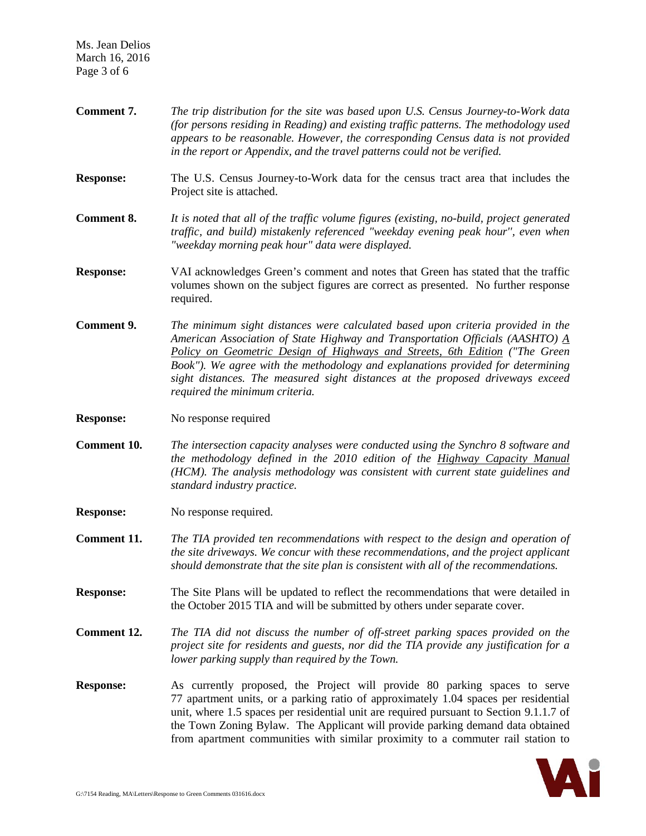Ms. Jean Delios March 16, 2016 Page 3 of 6

**Comment 7.** *The trip distribution for the site was based upon U.S. Census Journey-to-Work data (for persons residing in Reading) and existing traffic patterns. The methodology used appears to be reasonable. However, the corresponding Census data is not provided in the report or Appendix, and the travel patterns could not be verified.* **Response:** The U.S. Census Journey-to-Work data for the census tract area that includes the Project site is attached. **Comment 8.** *It is noted that all of the traffic volume figures (existing, no-build, project generated traffic, and build) mistakenly referenced "weekday evening peak hour'', even when "weekday morning peak hour" data were displayed.* **Response:** VAI acknowledges Green's comment and notes that Green has stated that the traffic volumes shown on the subject figures are correct as presented. No further response required. **Comment 9.** *The minimum sight distances were calculated based upon criteria provided in the American Association of State Highway and Transportation Officials (AASHTO) A Policy on Geometric Design of Highways and Streets, 6th Edition ("The Green Book"). We agree with the methodology and explanations provided for determining sight distances. The measured sight distances at the proposed driveways exceed required the minimum criteria.* **Response:** No response required **Comment 10.** *The intersection capacity analyses were conducted using the Synchro 8 software and the methodology defined in the 2010 edition of the Highway Capacity Manual (HCM). The analysis methodology was consistent with current state guidelines and standard industry practice.* **Response:** No response required. **Comment 11.** *The TIA provided ten recommendations with respect to the design and operation of the site driveways. We concur with these recommendations, and the project applicant should demonstrate that the site plan is consistent with all of the recommendations.* **Response:** The Site Plans will be updated to reflect the recommendations that were detailed in the October 2015 TIA and will be submitted by others under separate cover. **Comment 12.** *The TIA did not discuss the number of off-street parking spaces provided on the project site for residents and guests, nor did the TIA provide any justification for a lower parking supply than required by the Town.* **Response:** As currently proposed, the Project will provide 80 parking spaces to serve 77 apartment units, or a parking ratio of approximately 1.04 spaces per residential unit, where 1.5 spaces per residential unit are required pursuant to Section 9.1.1.7 of the Town Zoning Bylaw. The Applicant will provide parking demand data obtained from apartment communities with similar proximity to a commuter rail station to

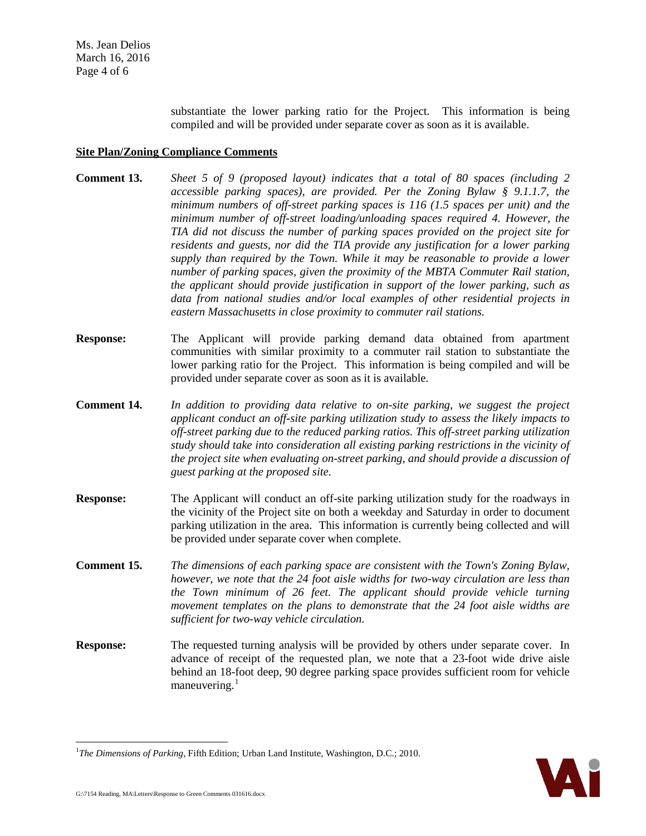substantiate the lower parking ratio for the Project. This information is being compiled and will be provided under separate cover as soon as it is available.

## **Site Plan/Zoning Compliance Comments**

- **Comment 13.** *Sheet 5 of 9 (proposed layout) indicates that a total of 80 spaces (including 2 accessible parking spaces), are provided. Per the Zoning Bylaw § 9.1.1.7, the minimum numbers of off-street parking spaces is 116 (1.5 spaces per unit) and the minimum number of off-street loading/unloading spaces required 4. However, the TIA did not discuss the number of parking spaces provided on the project site for residents and guests, nor did the TIA provide any justification for a lower parking supply than required by the Town. While it may be reasonable to provide a lower number of parking spaces, given the proximity of the MBTA Commuter Rail station, the applicant should provide justification in support of the lower parking, such as data from national studies and/or local examples of other residential projects in eastern Massachusetts in close proximity to commuter rail stations.*
- **Response:** The Applicant will provide parking demand data obtained from apartment communities with similar proximity to a commuter rail station to substantiate the lower parking ratio for the Project. This information is being compiled and will be provided under separate cover as soon as it is available.
- **Comment 14.** *In addition to providing data relative to on-site parking, we suggest the project applicant conduct an off-site parking utilization study to assess the likely impacts to off-street parking due to the reduced parking ratios. This off-street parking utilization study should take into consideration all existing parking restrictions in the vicinity of the project site when evaluating on-street parking, and should provide a discussion of guest parking at the proposed site.*
- **Response:** The Applicant will conduct an off-site parking utilization study for the roadways in the vicinity of the Project site on both a weekday and Saturday in order to document parking utilization in the area. This information is currently being collected and will be provided under separate cover when complete.
- **Comment 15.** *The dimensions of each parking space are consistent with the Town's Zoning Bylaw, however, we note that the 24 foot aisle widths for two-way circulation are less than the Town minimum of 26 feet. The applicant should provide vehicle turning movement templates on the plans to demonstrate that the 24 foot aisle widths are sufficient for two-way vehicle circulation.*
- **Response:** The requested turning analysis will be provided by others under separate cover. In advance of receipt of the requested plan, we note that a 23-foot wide drive aisle behind an 18-foot deep, 90 degree parking space provides sufficient room for vehicle maneuvering.<sup>[1](#page-3-0)</sup>



<span id="page-3-0"></span><sup>|&</sup>lt;br>|<br>| *The Dimensions of Parking*, Fifth Edition; Urban Land Institute, Washington, D.C.; 2010.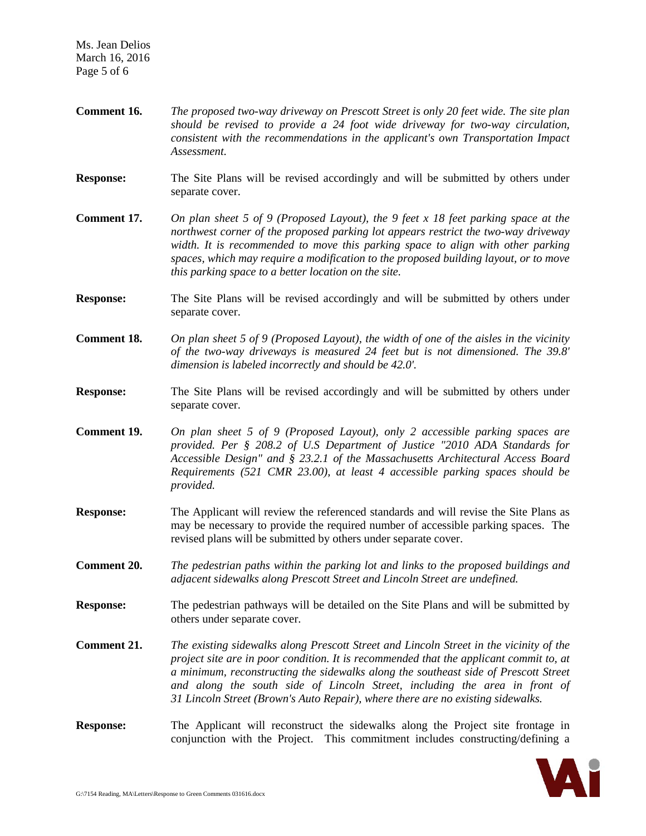- **Comment 16.** *The proposed two-way driveway on Prescott Street is only 20 feet wide. The site plan should be revised to provide a 24 foot wide driveway for two-way circulation, consistent with the recommendations in the applicant's own Transportation Impact Assessment.*
- **Response:** The Site Plans will be revised accordingly and will be submitted by others under separate cover.
- **Comment 17.** *On plan sheet 5 of 9 (Proposed Layout), the 9 feet x 18 feet parking space at the northwest corner of the proposed parking lot appears restrict the two-way driveway width. It is recommended to move this parking space to align with other parking spaces, which may require a modification to the proposed building layout, or to move this parking space to a better location on the site.*
- **Response:** The Site Plans will be revised accordingly and will be submitted by others under separate cover.
- **Comment 18.** *On plan sheet 5 of 9 (Proposed Layout), the width of one of the aisles in the vicinity of the two-way driveways is measured 24 feet but is not dimensioned. The 39.8' dimension is labeled incorrectly and should be 42.0'.*
- **Response:** The Site Plans will be revised accordingly and will be submitted by others under separate cover.
- **Comment 19.** *On plan sheet 5 of 9 (Proposed Layout), only 2 accessible parking spaces are provided. Per § 208.2 of U.S Department of Justice "2010 ADA Standards for Accessible Design" and § 23.2.1 of the Massachusetts Architectural Access Board Requirements (521 CMR 23.00), at least 4 accessible parking spaces should be provided.*
- **Response:** The Applicant will review the referenced standards and will revise the Site Plans as may be necessary to provide the required number of accessible parking spaces. The revised plans will be submitted by others under separate cover.
- **Comment 20.** *The pedestrian paths within the parking lot and links to the proposed buildings and adjacent sidewalks along Prescott Street and Lincoln Street are undefined.*
- **Response:** The pedestrian pathways will be detailed on the Site Plans and will be submitted by others under separate cover.
- **Comment 21.** *The existing sidewalks along Prescott Street and Lincoln Street in the vicinity of the project site are in poor condition. It is recommended that the applicant commit to, at a minimum, reconstructing the sidewalks along the southeast side of Prescott Street and along the south side of Lincoln Street, including the area in front of 31 Lincoln Street (Brown's Auto Repair), where there are no existing sidewalks.*

# **Response:** The Applicant will reconstruct the sidewalks along the Project site frontage in conjunction with the Project. This commitment includes constructing/defining a

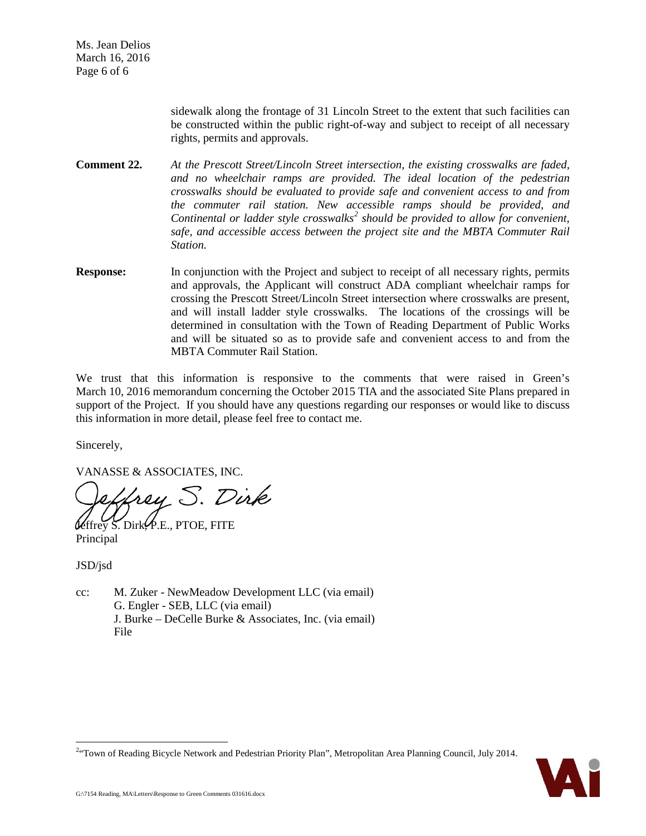sidewalk along the frontage of 31 Lincoln Street to the extent that such facilities can be constructed within the public right-of-way and subject to receipt of all necessary rights, permits and approvals.

**Comment 22.** *At the Prescott Street/Lincoln Street intersection, the existing crosswalks are faded, and no wheelchair ramps are provided. The ideal location of the pedestrian crosswalks should be evaluated to provide safe and convenient access to and from the commuter rail station. New accessible ramps should be provided, and Continental or ladder style crosswalks[2](#page-5-0) should be provided to allow for convenient, safe, and accessible access between the project site and the MBTA Commuter Rail Station.* 

**Response:** In conjunction with the Project and subject to receipt of all necessary rights, permits and approvals, the Applicant will construct ADA compliant wheelchair ramps for crossing the Prescott Street/Lincoln Street intersection where crosswalks are present, and will install ladder style crosswalks. The locations of the crossings will be determined in consultation with the Town of Reading Department of Public Works and will be situated so as to provide safe and convenient access to and from the MBTA Commuter Rail Station.

We trust that this information is responsive to the comments that were raised in Green's March 10, 2016 memorandum concerning the October 2015 TIA and the associated Site Plans prepared in support of the Project. If you should have any questions regarding our responses or would like to discuss this information in more detail, please feel free to contact me.

Sincerely,

VANASSE & ASSOCIATES, INC.

frey S. Dirk

S. Dirk $\varphi$ .E., PTOE, FITE Principal

JSD/jsd

 $\overline{a}$ 

cc: M. Zuker - NewMeadow Development LLC (via email) G. Engler - SEB, LLC (via email) J. Burke – DeCelle Burke & Associates, Inc. (via email) File

<span id="page-5-0"></span><sup>&</sup>lt;sup>2.</sup> Town of Reading Bicycle Network and Pedestrian Priority Plan", Metropolitan Area Planning Council, July 2014.